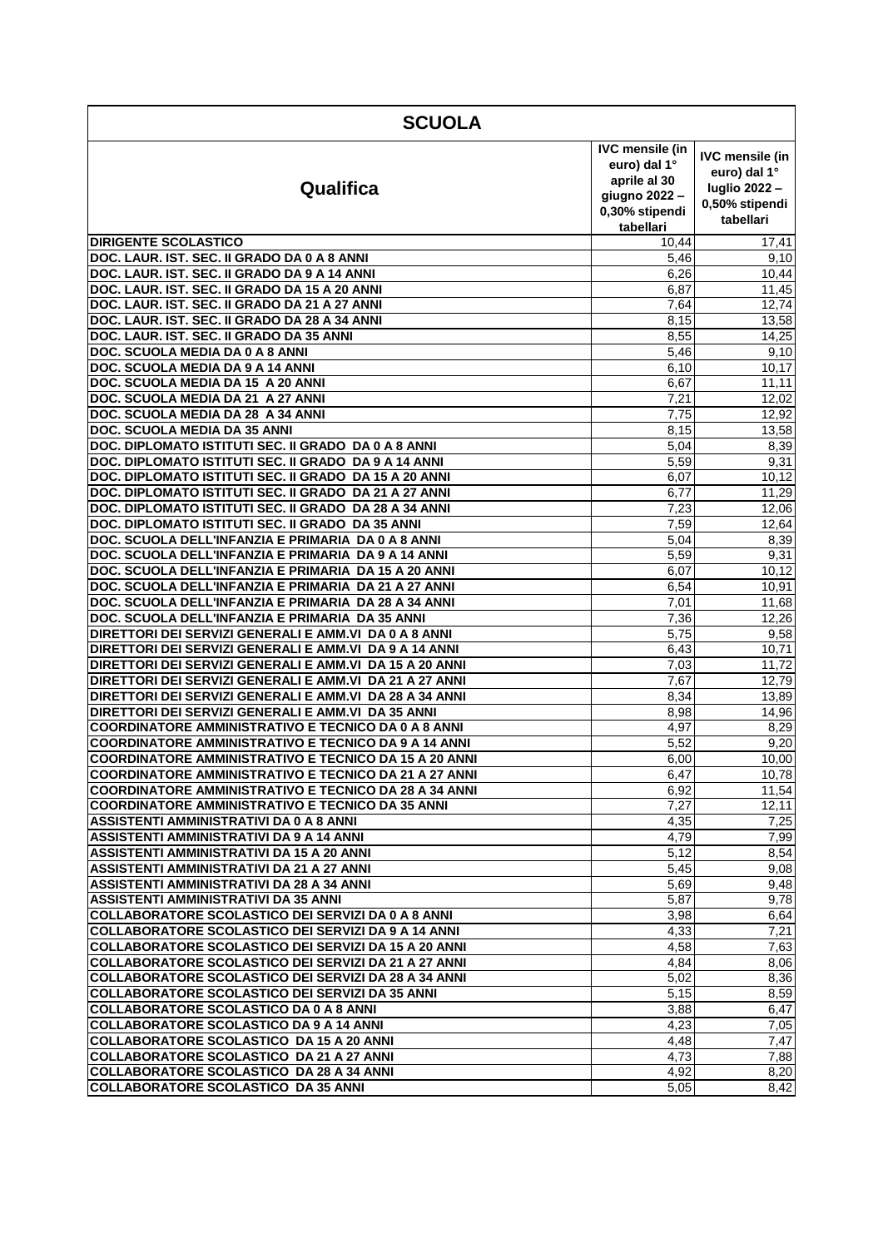| <b>SCUOLA</b>                                                                                                           |                                                                                                        |                                                                                       |  |
|-------------------------------------------------------------------------------------------------------------------------|--------------------------------------------------------------------------------------------------------|---------------------------------------------------------------------------------------|--|
| Qualifica                                                                                                               | <b>IVC mensile (in</b><br>euro) dal 1°<br>aprile al 30<br>giugno 2022 -<br>0,30% stipendi<br>tabellari | <b>IVC mensile (in</b><br>euro) dal 1°<br>luglio 2022-<br>0,50% stipendi<br>tabellari |  |
| <b>DIRIGENTE SCOLASTICO</b>                                                                                             | 10,44                                                                                                  | 17,41                                                                                 |  |
| DOC. LAUR. IST. SEC. II GRADO DA 0 A 8 ANNI                                                                             | 5,46                                                                                                   | 9,10                                                                                  |  |
| DOC. LAUR. IST. SEC. II GRADO DA 9 A 14 ANNI                                                                            | 6,26                                                                                                   | 10,44                                                                                 |  |
| DOC. LAUR. IST. SEC. II GRADO DA 15 A 20 ANNI                                                                           | 6,87                                                                                                   | 11,45                                                                                 |  |
| DOC. LAUR. IST. SEC. II GRADO DA 21 A 27 ANNI                                                                           | 7,64                                                                                                   | 12,74                                                                                 |  |
| DOC. LAUR. IST. SEC. II GRADO DA 28 A 34 ANNI                                                                           | 8,15                                                                                                   | 13,58                                                                                 |  |
| DOC. LAUR. IST. SEC. II GRADO DA 35 ANNI<br>DOC. SCUOLA MEDIA DA 0 A 8 ANNI                                             | 8,55<br>5,46                                                                                           | 14,25<br>9,10                                                                         |  |
| DOC. SCUOLA MEDIA DA 9 A 14 ANNI                                                                                        | 6,10                                                                                                   | 10,17                                                                                 |  |
| DOC. SCUOLA MEDIA DA 15 A 20 ANNI                                                                                       | 6,67                                                                                                   | 11,11                                                                                 |  |
| DOC. SCUOLA MEDIA DA 21 A 27 ANNI                                                                                       | 7,21                                                                                                   | 12,02                                                                                 |  |
| DOC. SCUOLA MEDIA DA 28 A 34 ANNI                                                                                       | 7,75                                                                                                   | 12,92                                                                                 |  |
| <b>DOC. SCUOLA MEDIA DA 35 ANNI</b>                                                                                     | 8,15                                                                                                   | 13,58                                                                                 |  |
| DOC. DIPLOMATO ISTITUTI SEC. II GRADO DA 0 A 8 ANNI                                                                     | 5,04                                                                                                   | 8,39                                                                                  |  |
| DOC. DIPLOMATO ISTITUTI SEC. II GRADO DA 9 A 14 ANNI                                                                    | 5,59                                                                                                   | 9,31                                                                                  |  |
| DOC. DIPLOMATO ISTITUTI SEC. II GRADO DA 15 A 20 ANNI                                                                   | 6,07                                                                                                   | 10,12                                                                                 |  |
| DOC. DIPLOMATO ISTITUTI SEC. II GRADO DA 21 A 27 ANNI                                                                   | 6,77                                                                                                   | 11,29                                                                                 |  |
| DOC. DIPLOMATO ISTITUTI SEC. II GRADO DA 28 A 34 ANNI                                                                   | 7,23                                                                                                   | 12,06                                                                                 |  |
| DOC, DIPLOMATO ISTITUTI SEC. II GRADO DA 35 ANNI                                                                        | 7,59                                                                                                   | 12,64                                                                                 |  |
| DOC. SCUOLA DELL'INFANZIA E PRIMARIA DA 0 A 8 ANNI                                                                      | 5,04                                                                                                   | 8,39                                                                                  |  |
| DOC. SCUOLA DELL'INFANZIA E PRIMARIA DA 9 A 14 ANNI                                                                     | 5,59                                                                                                   | 9,31                                                                                  |  |
| DOC. SCUOLA DELL'INFANZIA E PRIMARIA DA 15 A 20 ANNI<br>DOC. SCUOLA DELL'INFANZIA E PRIMARIA DA 21 A 27 ANNI            | 6,07                                                                                                   | 10,12<br>10,91                                                                        |  |
| DOC. SCUOLA DELL'INFANZIA E PRIMARIA DA 28 A 34 ANNI                                                                    | 6,54<br>7,01                                                                                           | 11,68                                                                                 |  |
| DOC. SCUOLA DELL'INFANZIA E PRIMARIA<br>DA 35 ANNI                                                                      | 7,36                                                                                                   | 12,26                                                                                 |  |
| DIRETTORI DEI SERVIZI GENERALI E AMM.VI DA 0 A 8 ANNI                                                                   | $\overline{5,75}$                                                                                      | 9,58                                                                                  |  |
| DIRETTORI DEI SERVIZI GENERALI E AMM.VI DA 9 A 14 ANNI                                                                  | 6,43                                                                                                   | 10,71                                                                                 |  |
| DIRETTORI DEI SERVIZI GENERALI E AMM.VI DA 15 A 20 ANNI                                                                 | 7,03                                                                                                   | 11,72                                                                                 |  |
| DIRETTORI DEI SERVIZI GENERALI E AMM.VI DA 21 A 27 ANNI                                                                 | 7,67                                                                                                   | 12,79                                                                                 |  |
| DIRETTORI DEI SERVIZI GENERALI E AMM.VI DA 28 A 34 ANNI                                                                 | 8,34                                                                                                   | 13,89                                                                                 |  |
| DIRETTORI DEI SERVIZI GENERALI E AMM.VI DA 35 ANNI                                                                      | 8,98                                                                                                   | 14,96                                                                                 |  |
| <b>COORDINATORE AMMINISTRATIVO E TECNICO DA 0 A 8 ANNI</b>                                                              | 4,97                                                                                                   | 8,29                                                                                  |  |
| <b>COORDINATORE AMMINISTRATIVO E TECNICO DA 9 A 14 ANNI</b>                                                             | 5,52                                                                                                   | 9,20                                                                                  |  |
| <b>COORDINATORE AMMINISTRATIVO E TECNICO DA 15 A 20 ANNI</b>                                                            | 6,00                                                                                                   | 10,00                                                                                 |  |
| <b>COORDINATORE AMMINISTRATIVO E TECNICO DA 21 A 27 ANNI</b>                                                            | 6,47                                                                                                   | 10,78                                                                                 |  |
| <b>COORDINATORE AMMINISTRATIVO E TECNICO DA 28 A 34 ANNI</b><br><b>COORDINATORE AMMINISTRATIVO E TECNICO DA 35 ANNI</b> | 6,92<br>7,27                                                                                           | 11,54                                                                                 |  |
| ASSISTENTI AMMINISTRATIVI DA 0 A 8 ANNI                                                                                 | 4,35                                                                                                   | 12,11<br>7,25                                                                         |  |
| ASSISTENTI AMMINISTRATIVI DA 9 A 14 ANNI                                                                                | 4,79                                                                                                   | 7,99                                                                                  |  |
| ASSISTENTI AMMINISTRATIVI DA 15 A 20 ANNI                                                                               | 5,12                                                                                                   | 8,54                                                                                  |  |
| ASSISTENTI AMMINISTRATIVI DA 21 A 27 ANNI                                                                               | 5,45                                                                                                   | 9,08                                                                                  |  |
| ASSISTENTI AMMINISTRATIVI DA 28 A 34 ANNI                                                                               | 5,69                                                                                                   | 9,48                                                                                  |  |
| ASSISTENTI AMMINISTRATIVI DA 35 ANNI                                                                                    | 5,87                                                                                                   | 9,78                                                                                  |  |
| <b>COLLABORATORE SCOLASTICO DEI SERVIZI DA 0 A 8 ANNI</b>                                                               | 3,98                                                                                                   | 6,64                                                                                  |  |
| COLLABORATORE SCOLASTICO DEI SERVIZI DA 9 A 14 ANNI                                                                     | 4,33                                                                                                   | 7,21                                                                                  |  |
| COLLABORATORE SCOLASTICO DEI SERVIZI DA 15 A 20 ANNI                                                                    | 4,58                                                                                                   | 7,63                                                                                  |  |
| COLLABORATORE SCOLASTICO DEI SERVIZI DA 21 A 27 ANNI                                                                    | 4,84                                                                                                   | 8,06                                                                                  |  |
| <b>COLLABORATORE SCOLASTICO DEI SERVIZI DA 28 A 34 ANNI</b>                                                             | 5,02                                                                                                   | 8,36                                                                                  |  |
| <b>COLLABORATORE SCOLASTICO DEI SERVIZI DA 35 ANNI</b>                                                                  | 5,15                                                                                                   | 8,59                                                                                  |  |
| <b>COLLABORATORE SCOLASTICO DA 0 A 8 ANNI</b>                                                                           | 3,88                                                                                                   | 6,47                                                                                  |  |
| <b>COLLABORATORE SCOLASTICO DA 9 A 14 ANNI</b><br>COLLABORATORE SCOLASTICO DA 15 A 20 ANNI                              | 4,23<br>4,48                                                                                           | 7,05<br>7,47                                                                          |  |
| COLLABORATORE SCOLASTICO DA 21 A 27 ANNI                                                                                | 4,73                                                                                                   | 7,88                                                                                  |  |
| COLLABORATORE SCOLASTICO DA 28 A 34 ANNI                                                                                | 4,92                                                                                                   | 8,20                                                                                  |  |
| <b>COLLABORATORE SCOLASTICO DA 35 ANNI</b>                                                                              | 5,05                                                                                                   | 8,42                                                                                  |  |